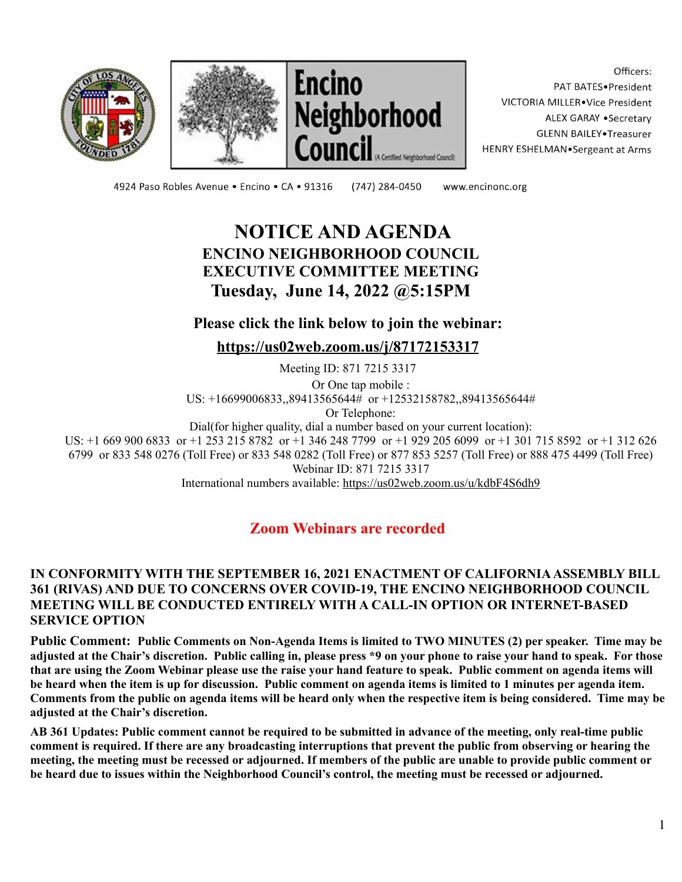





Officers: PAT BATES.President VICTORIA MILLER.Vice President ALEX GARAY . Secretary **GLENN BAILEY** Treasurer HENRY ESHELMAN.Sergeant at Arms

4924 Paso Robles Avenue · Encino · CA · 91316

(747) 284-0450

www.encinonc.org

# **NOTICE AND AGENDA ENCINO NEIGHBORHOOD COUNCIL EXECUTIVE COMMITTEE MEETING Tuesday, June 14, 2022 @5:15PM**

## **Please click the link below to join the webinar:**

**<https://us02web.zoom.us/j/87172153317>**

Meeting ID: 871 7215 3317 Or One tap mobile : US: +16699006833,,89413565644# or +12532158782,,89413565644# Or Telephone:

Dial(for higher quality, dial a number based on your current location): US: +1 669 900 6833 or +1 253 215 8782 or +1 346 248 7799 or +1 929 205 6099 or +1 301 715 8592 or +1 312 626 6799 or 833 548 0276 (Toll Free) or 833 548 0282 (Toll Free) or 877 853 5257 (Toll Free) or 888 475 4499 (Toll Free) Webinar ID: 871 7215 3317 International numbers available: <https://us02web.zoom.us/u/kdbF4S6dh9>

**Zoom Webinars are recorded**

#### **IN CONFORMITY WITH THE SEPTEMBER 16, 2021 ENACTMENT OF CALIFORNIAASSEMBLY BILL 361 (RIVAS) AND DUE TO CONCERNS OVER COVID-19, THE ENCINO NEIGHBORHOOD COUNCIL MEETING WILL BE CONDUCTED ENTIRELY WITH A CALL-IN OPTION OR INTERNET-BASED SERVICE OPTION**

Public Comment: Public Comments on Non-Agenda Items is limited to TWO MINUTES (2) per speaker. Time may be adjusted at the Chair's discretion. Public calling in, please press \*9 on your phone to raise your hand to speak. For those that are using the Zoom Webinar please use the raise your hand feature to speak. Public comment on agenda items will be heard when the item is up for discussion. Public comment on agenda items is limited to 1 minutes per agenda item. Comments from the public on agenda items will be heard only when the respective item is being considered. Time may be **adjusted at the Chair's discretion.**

AB 361 Updates: Public comment cannot be required to be submitted in advance of the meeting, only real-time public comment is required. If there are any broadcasting interruptions that prevent the public from observing or hearing the meeting, the meeting must be recessed or adjourned. If members of the public are unable to provide public comment or be heard due to issues within the Neighborhood Council's control, the meeting must be recessed or adjourned.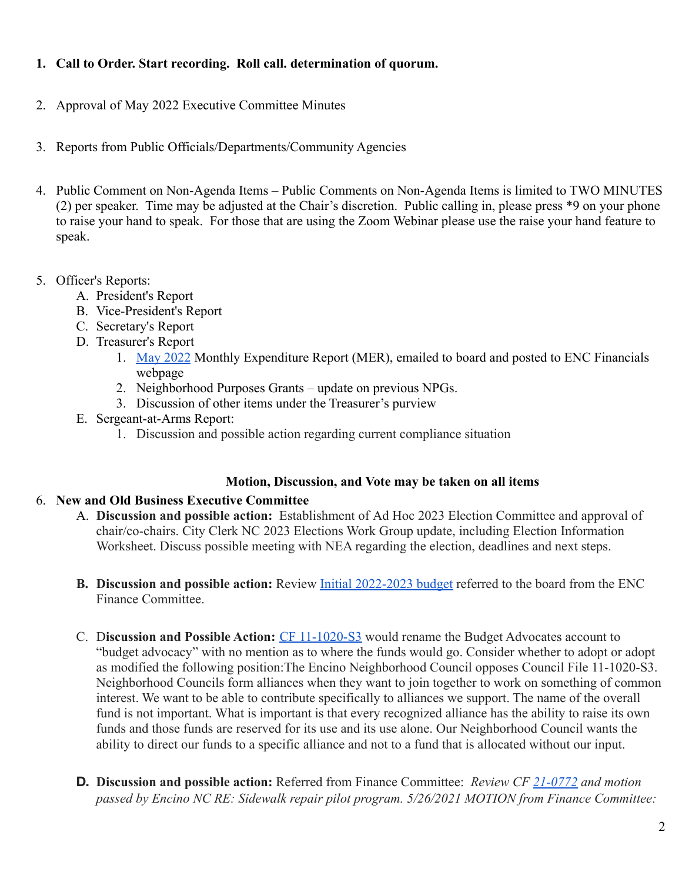#### **1. Call to Order. Start recording. Roll call. determination of quorum.**

- 2. Approval of May 2022 Executive Committee Minutes
- 3. Reports from Public Officials/Departments/Community Agencies
- 4. Public Comment on Non-Agenda Items Public Comments on Non-Agenda Items is limited to TWO MINUTES (2) per speaker. Time may be adjusted at the Chair's discretion. Public calling in, please press \*9 on your phone to raise your hand to speak. For those that are using the Zoom Webinar please use the raise your hand feature to speak.
- 5. Officer's Reports:
	- A. President's Report
	- B. Vice-President's Report
	- C. Secretary's Report
	- D. Treasurer's Report
		- 1. [May 2022](https://www.encinonc.org/page/viewDoc/385/financial) Monthly Expenditure Report (MER), emailed to board and posted to ENC Financials webpage
		- 2. Neighborhood Purposes Grants update on previous NPGs.
		- 3. Discussion of other items under the Treasurer's purview
	- E. Sergeant-at-Arms Report:
		- 1. Discussion and possible action regarding current compliance situation

#### **Motion, Discussion, and Vote may be taken on all items**

#### 6. **New and Old Business Executive Committee**

- A. **Discussion and possible action:** Establishment of Ad Hoc 2023 Election Committee and approval of chair/co-chairs. City Clerk NC 2023 Elections Work Group update, including Election Information Worksheet. Discuss possible meeting with NEA regarding the election, deadlines and next steps.
- **B. Discussion and possible action:** Review [Initial 2022-2023](https://www.encinonc.org/assets/documents/8/meeting62a519093d70e.pdf) budget referred to the board from the ENC Finance Committee.
- C. D**iscussion and Possible Action:** [CF 11-1020-S3](https://cityclerk.lacity.org/lacityclerkconnect/index.cfm?fa=ccfi.viewrecord&cfnumber=11-1020-S3) would rename the Budget Advocates account to "budget advocacy" with no mention as to where the funds would go. Consider whether to adopt or adopt as modified the following position:The Encino Neighborhood Council opposes Council File 11-1020-S3. Neighborhood Councils form alliances when they want to join together to work on something of common interest. We want to be able to contribute specifically to alliances we support. The name of the overall fund is not important. What is important is that every recognized alliance has the ability to raise its own funds and those funds are reserved for its use and its use alone. Our Neighborhood Council wants the ability to direct our funds to a specific alliance and not to a fund that is allocated without our input.
- **D. Discussion and possible action:** Referred from Finance Committee: *Review CF [21-0772](https://clkrep.lacity.org/onlinedocs/2021/21-0772_mot_07-01-2021.pdf) and motion passed by Encino NC RE: Sidewalk repair pilot program. 5/26/2021 MOTION from Finance Committee:*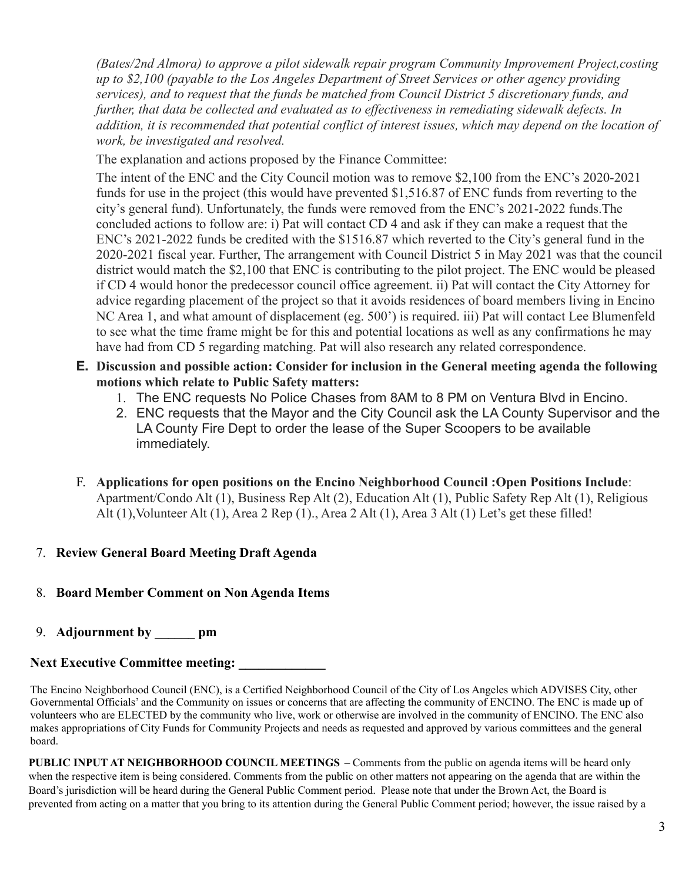*(Bates/2nd Almora) to approve a pilot sidewalk repair program Community Improvement Project,costing up to \$2,100 (payable to the Los Angeles Department of Street Services or other agency providing services), and to request that the funds be matched from Council District 5 discretionary funds, and further, that data be collected and evaluated as to effectiveness in remediating sidewalk defects. In addition, it is recommended that potential conflict of interest issues, which may depend on the location of work, be investigated and resolved.*

The explanation and actions proposed by the Finance Committee:

The intent of the ENC and the City Council motion was to remove \$2,100 from the ENC's 2020-2021 funds for use in the project (this would have prevented \$1,516.87 of ENC funds from reverting to the city's general fund). Unfortunately, the funds were removed from the ENC's 2021-2022 funds.The concluded actions to follow are: i) Pat will contact CD 4 and ask if they can make a request that the ENC's 2021-2022 funds be credited with the \$1516.87 which reverted to the City's general fund in the 2020-2021 fiscal year. Further, The arrangement with Council District 5 in May 2021 was that the council district would match the \$2,100 that ENC is contributing to the pilot project. The ENC would be pleased if CD 4 would honor the predecessor council office agreement. ii) Pat will contact the City Attorney for advice regarding placement of the project so that it avoids residences of board members living in Encino NC Area 1, and what amount of displacement (eg. 500') is required. iii) Pat will contact Lee Blumenfeld to see what the time frame might be for this and potential locations as well as any confirmations he may have had from CD 5 regarding matching. Pat will also research any related correspondence.

- **E. Discussion and possible action: Consider for inclusion in the General meeting agenda the following motions which relate to Public Safety matters:**
	- 1. The ENC requests No Police Chases from 8AM to 8 PM on Ventura Blvd in Encino.
	- 2. ENC requests that the Mayor and the City Council ask the LA County Supervisor and the LA County Fire Dept to order the lease of the Super Scoopers to be available immediately.
- F. **Applications for open positions on the Encino Neighborhood Council :Open Positions Include**: Apartment/Condo Alt (1), Business Rep Alt (2), Education Alt (1), Public Safety Rep Alt (1), Religious Alt (1),Volunteer Alt (1), Area 2 Rep (1)., Area 2 Alt (1), Area 3 Alt (1) Let's get these filled!

### 7. **Review General Board Meeting Draft Agenda**

- 8. **Board Member Comment on Non Agenda Items**
- 9. **Adjournment by \_\_\_\_\_\_ pm**

## Next Executive Committee meeting:

The Encino Neighborhood Council (ENC), is a Certified Neighborhood Council of the City of Los Angeles which ADVISES City, other Governmental Officials' and the Community on issues or concerns that are affecting the community of ENCINO. The ENC is made up of volunteers who are ELECTED by the community who live, work or otherwise are involved in the community of ENCINO. The ENC also makes appropriations of City Funds for Community Projects and needs as requested and approved by various committees and the general board.

**PUBLIC INPUT AT NEIGHBORHOOD COUNCIL MEETINGS** – Comments from the public on agenda items will be heard only when the respective item is being considered. Comments from the public on other matters not appearing on the agenda that are within the Board's jurisdiction will be heard during the General Public Comment period. Please note that under the Brown Act, the Board is prevented from acting on a matter that you bring to its attention during the General Public Comment period; however, the issue raised by a